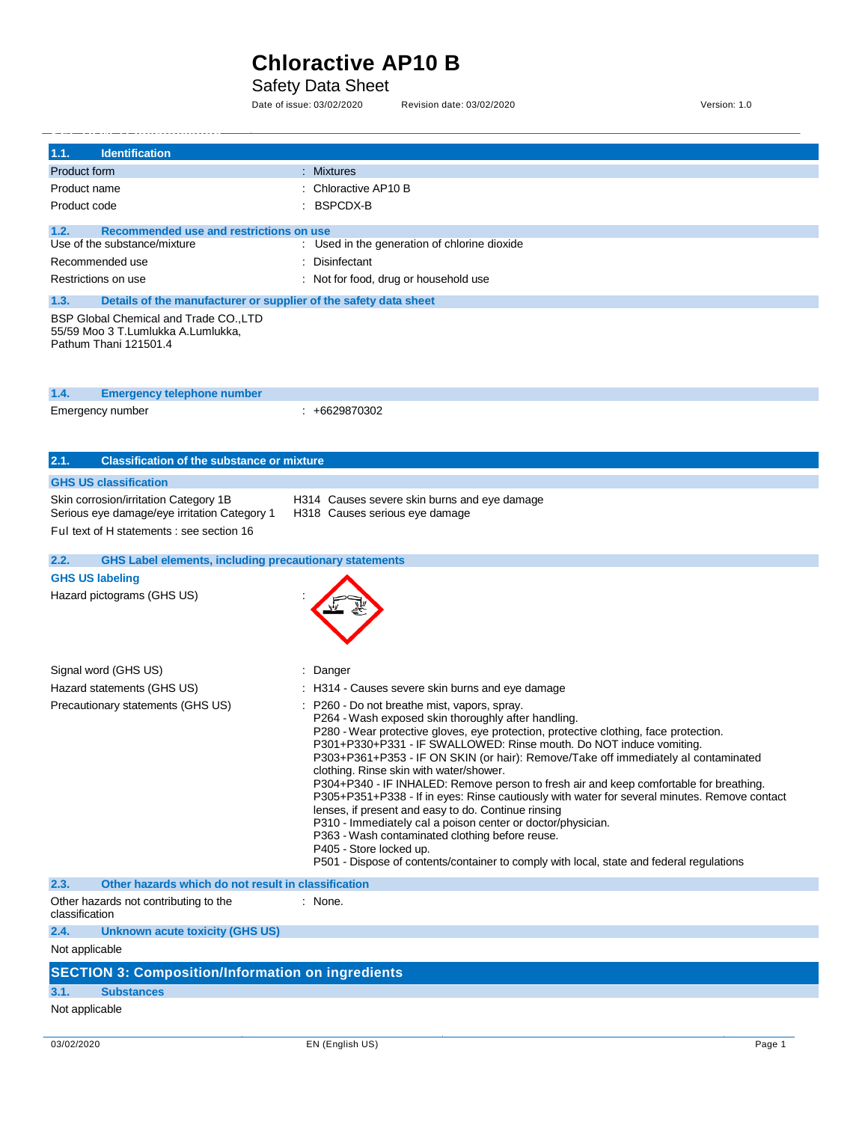Safety Data Sheet<br>Date of issue: 03/02/2020

Revision date: 03/02/2020 <br>
Version: 1.0

| 1.1.<br><b>Identification</b>                                                                         |                                                                                                                                             |
|-------------------------------------------------------------------------------------------------------|---------------------------------------------------------------------------------------------------------------------------------------------|
| Product form                                                                                          | : Mixtures                                                                                                                                  |
| Product name                                                                                          | Chloractive AP10 B                                                                                                                          |
| Product code                                                                                          | <b>BSPCDX-B</b>                                                                                                                             |
| 1.2.<br>Recommended use and restrictions on use                                                       |                                                                                                                                             |
| Use of the substance/mixture                                                                          | : Used in the generation of chlorine dioxide                                                                                                |
| Recommended use                                                                                       | Disinfectant                                                                                                                                |
| Restrictions on use                                                                                   | : Not for food, drug or household use                                                                                                       |
| 1.3.<br>Details of the manufacturer or supplier of the safety data sheet                              |                                                                                                                                             |
| BSP Global Chemical and Trade CO., LTD<br>55/59 Moo 3 T.Lumlukka A.Lumlukka,<br>Pathum Thani 121501.4 |                                                                                                                                             |
| 1.4.<br><b>Emergency telephone number</b>                                                             |                                                                                                                                             |
| Emergency number                                                                                      | $: +6629870302$                                                                                                                             |
|                                                                                                       |                                                                                                                                             |
|                                                                                                       |                                                                                                                                             |
| 2.1.<br><b>Classification of the substance or mixture</b>                                             |                                                                                                                                             |
| <b>GHS US classification</b>                                                                          |                                                                                                                                             |
| Skin corrosion/irritation Category 1B                                                                 | H314 Causes severe skin burns and eye damage                                                                                                |
| Serious eye damage/eye irritation Category 1                                                          | H318 Causes serious eye damage                                                                                                              |
| Ful text of H statements : see section 16                                                             |                                                                                                                                             |
| <b>GHS Label elements, including precautionary statements</b><br>2.2.                                 |                                                                                                                                             |
| <b>GHS US labeling</b>                                                                                |                                                                                                                                             |
| Hazard pictograms (GHS US)                                                                            |                                                                                                                                             |
|                                                                                                       |                                                                                                                                             |
| Signal word (GHS US)                                                                                  | Danger                                                                                                                                      |
| Hazard statements (GHS US)                                                                            | H314 - Causes severe skin burns and eye damage                                                                                              |
| Precautionary statements (GHS US)                                                                     | P260 - Do not breathe mist, vapors, spray.                                                                                                  |
|                                                                                                       | P264 - Wash exposed skin thoroughly after handling.<br>P280 - Wear protective gloves, eye protection, protective clothing, face protection. |
|                                                                                                       | P301+P330+P331 - IF SWALLOWED: Rinse mouth. Do NOT induce vomiting.                                                                         |
|                                                                                                       | P303+P361+P353 - IF ON SKIN (or hair): Remove/Take off immediately al contaminated                                                          |
|                                                                                                       | clothing. Rinse skin with water/shower.<br>P304+P340 - IF INHALED: Remove person to fresh air and keep comfortable for breathing.           |
|                                                                                                       | P305+P351+P338 - If in eyes: Rinse cautiously with water for several minutes. Remove contact                                                |
|                                                                                                       | lenses, if present and easy to do. Continue rinsing                                                                                         |
|                                                                                                       | P310 - Immediately cal a poison center or doctor/physician.<br>P363 - Wash contaminated clothing before reuse.                              |
|                                                                                                       | P405 - Store locked up.                                                                                                                     |
|                                                                                                       | P501 - Dispose of contents/container to comply with local, state and federal regulations                                                    |
| 2.3.<br>Other hazards which do not result in classification                                           |                                                                                                                                             |
| Other hazards not contributing to the<br>classification                                               | : None.                                                                                                                                     |
| 2.4.<br>Unknown acute toxicity (GHS US)                                                               |                                                                                                                                             |
| Not applicable                                                                                        |                                                                                                                                             |
| <b>SECTION 3: Composition/Information on ingredients</b>                                              |                                                                                                                                             |
| 3.1.<br><b>Substances</b>                                                                             |                                                                                                                                             |
| Not applicable                                                                                        |                                                                                                                                             |

j.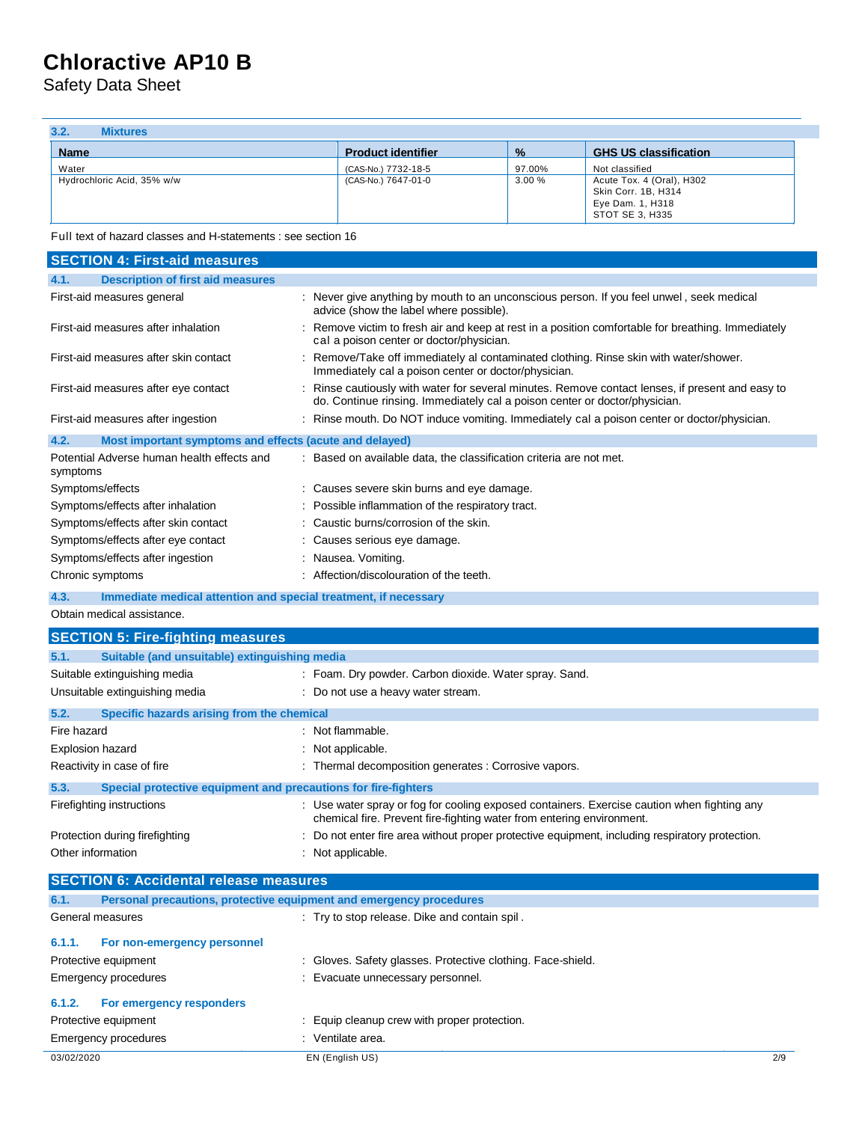Safety Data Sheet

| 3.2.<br><b>Mixtures</b>             |                                            |                 |                                                                                                           |
|-------------------------------------|--------------------------------------------|-----------------|-----------------------------------------------------------------------------------------------------------|
| <b>Name</b>                         | <b>Product identifier</b>                  | $\frac{9}{6}$   | <b>GHS US classification</b>                                                                              |
| Water<br>Hydrochloric Acid, 35% w/w | (CAS-No.) 7732-18-5<br>(CAS-No.) 7647-01-0 | 97.00%<br>3.00% | Not classified<br>Acute Tox. 4 (Oral), H302<br>Skin Corr. 1B, H314<br>Eye Dam. 1, H318<br>STOT SE 3, H335 |

Full text of hazard classes and H-statements : see section 16

| <b>SECTION 4: First-aid measures</b>                                        |                                                                                                                                                                                |
|-----------------------------------------------------------------------------|--------------------------------------------------------------------------------------------------------------------------------------------------------------------------------|
| 4.1.<br><b>Description of first aid measures</b>                            |                                                                                                                                                                                |
| First-aid measures general                                                  | : Never give anything by mouth to an unconscious person. If you feel unwel, seek medical<br>advice (show the label where possible).                                            |
| First-aid measures after inhalation                                         | : Remove victim to fresh air and keep at rest in a position comfortable for breathing. Immediately<br>cal a poison center or doctor/physician.                                 |
| First-aid measures after skin contact                                       | : Remove/Take off immediately al contaminated clothing. Rinse skin with water/shower.<br>Immediately cal a poison center or doctor/physician.                                  |
| First-aid measures after eye contact                                        | : Rinse cautiously with water for several minutes. Remove contact lenses, if present and easy to<br>do. Continue rinsing. Immediately cal a poison center or doctor/physician. |
| First-aid measures after ingestion                                          | : Rinse mouth. Do NOT induce vomiting. Immediately cal a poison center or doctor/physician.                                                                                    |
| 4.2.<br>Most important symptoms and effects (acute and delayed)             |                                                                                                                                                                                |
| Potential Adverse human health effects and<br>symptoms                      | : Based on available data, the classification criteria are not met.                                                                                                            |
| Symptoms/effects                                                            | : Causes severe skin burns and eye damage.                                                                                                                                     |
| Symptoms/effects after inhalation                                           | Possible inflammation of the respiratory tract.                                                                                                                                |
| Symptoms/effects after skin contact                                         | : Caustic burns/corrosion of the skin.                                                                                                                                         |
| Symptoms/effects after eye contact                                          | : Causes serious eye damage.                                                                                                                                                   |
| Symptoms/effects after ingestion                                            | : Nausea. Vomiting.                                                                                                                                                            |
| Chronic symptoms                                                            | : Affection/discolouration of the teeth.                                                                                                                                       |
| 4.3.<br>Immediate medical attention and special treatment, if necessary     |                                                                                                                                                                                |
| Obtain medical assistance.                                                  |                                                                                                                                                                                |
| <b>SECTION 5: Fire-fighting measures</b>                                    |                                                                                                                                                                                |
| 5.1.<br>Suitable (and unsuitable) extinguishing media                       |                                                                                                                                                                                |
| Suitable extinguishing media                                                | : Foam. Dry powder. Carbon dioxide. Water spray. Sand.                                                                                                                         |
| Unsuitable extinguishing media                                              | : Do not use a heavy water stream.                                                                                                                                             |
| 5.2.<br>Specific hazards arising from the chemical                          |                                                                                                                                                                                |
| Fire hazard                                                                 | : Not flammable.                                                                                                                                                               |
| Explosion hazard                                                            | : Not applicable.                                                                                                                                                              |
| Reactivity in case of fire                                                  | : Thermal decomposition generates : Corrosive vapors.                                                                                                                          |
| 5.3.<br>Special protective equipment and precautions for fire-fighters      |                                                                                                                                                                                |
| Firefighting instructions                                                   | : Use water spray or fog for cooling exposed containers. Exercise caution when fighting any                                                                                    |
|                                                                             | chemical fire. Prevent fire-fighting water from entering environment.                                                                                                          |
| Protection during firefighting                                              | : Do not enter fire area without proper protective equipment, including respiratory protection.                                                                                |
| Other information                                                           | : Not applicable.                                                                                                                                                              |
| <b>SECTION 6: Accidental release measures</b>                               |                                                                                                                                                                                |
| 6.1.<br>Personal precautions, protective equipment and emergency procedures |                                                                                                                                                                                |
| General measures                                                            | : Try to stop release. Dike and contain spil.                                                                                                                                  |
| 6.1.1.<br>For non-emergency personnel                                       |                                                                                                                                                                                |
| Protective equipment                                                        | : Gloves. Safety glasses. Protective clothing. Face-shield.                                                                                                                    |
| <b>Emergency procedures</b>                                                 | : Evacuate unnecessary personnel.                                                                                                                                              |
| 6.1.2.<br>For emergency responders                                          |                                                                                                                                                                                |
| Protective equipment                                                        | : Equip cleanup crew with proper protection.                                                                                                                                   |
| Emergency procedures                                                        | : Ventilate area.                                                                                                                                                              |
| 03/02/2020                                                                  | EN (English US)<br>2/9                                                                                                                                                         |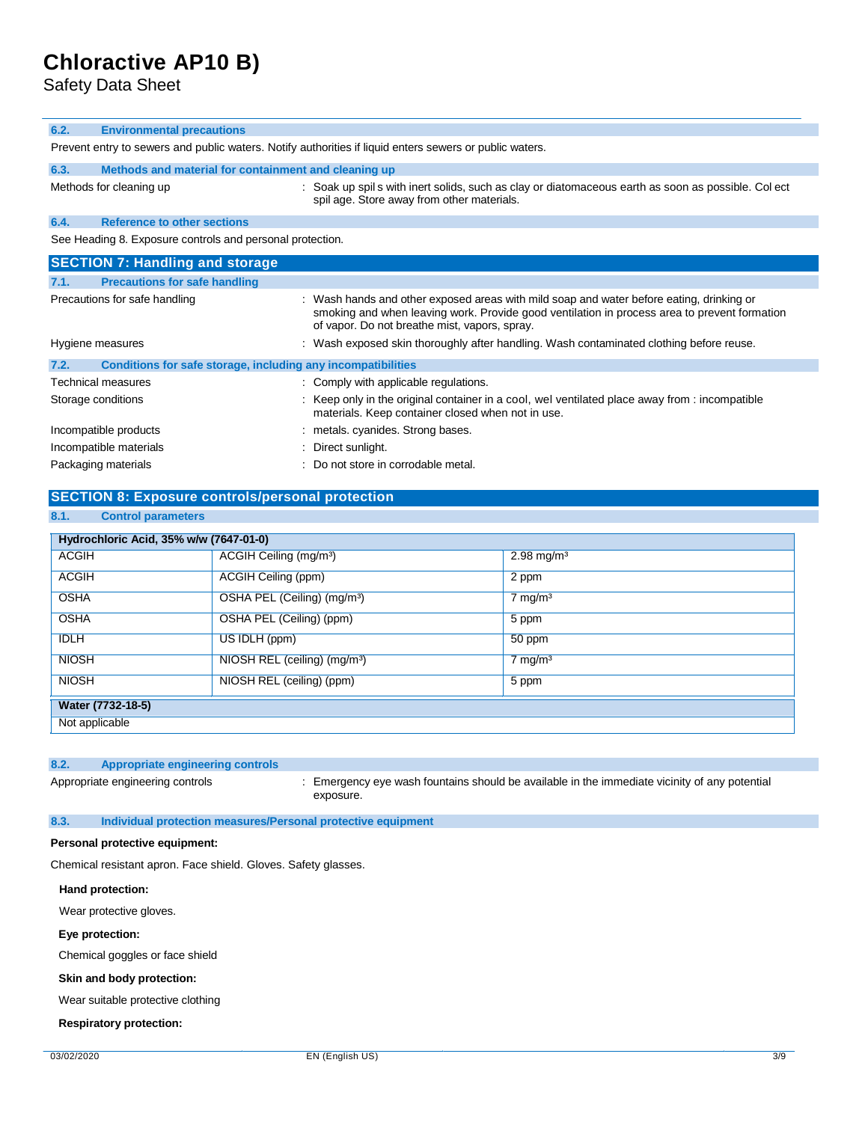Safety Data Sheet

#### **6.2. Environmental precautions**

Prevent entry to sewers and public waters. Notify authorities if liquid enters sewers or public waters.

| 6.3. |                         | Methods and material for containment and cleaning up                                                                 |
|------|-------------------------|----------------------------------------------------------------------------------------------------------------------|
|      | Methods for cleaning up | : Soak up spil s with inert solids, such as clay or diatomaceous earth<br>spil age. Store away from other materials. |

**6.4. Reference to other sections**

See Heading 8. Exposure controls and personal protection.

|                    | <b>SECTION 7: Handling and storage</b>                       |                                                                                                                                                                                                                                           |
|--------------------|--------------------------------------------------------------|-------------------------------------------------------------------------------------------------------------------------------------------------------------------------------------------------------------------------------------------|
| 7.1.               | <b>Precautions for safe handling</b>                         |                                                                                                                                                                                                                                           |
|                    | Precautions for safe handling                                | : Wash hands and other exposed areas with mild soap and water before eating, drinking or<br>smoking and when leaving work. Provide good ventilation in process area to prevent formation<br>of vapor. Do not breathe mist, vapors, spray. |
| Hygiene measures   |                                                              | : Wash exposed skin thoroughly after handling. Wash contaminated clothing before reuse.                                                                                                                                                   |
| 7.2.               | Conditions for safe storage, including any incompatibilities |                                                                                                                                                                                                                                           |
|                    | <b>Technical measures</b>                                    | : Comply with applicable regulations.                                                                                                                                                                                                     |
| Storage conditions |                                                              | : Keep only in the original container in a cool, wel ventilated place away from : incompatible<br>materials. Keep container closed when not in use.                                                                                       |
|                    | Incompatible products                                        | : metals. cyanides. Strong bases.                                                                                                                                                                                                         |
|                    | Incompatible materials                                       | : Direct sunlight.                                                                                                                                                                                                                        |
|                    | Packaging materials                                          | : Do not store in corrodable metal.                                                                                                                                                                                                       |

### **SECTION 8: Exposure controls/personal protection**

#### **8.1. Control parameters**

| Hydrochloric Acid, 35% w/w (7647-01-0) |                                          |                          |
|----------------------------------------|------------------------------------------|--------------------------|
| <b>ACGIH</b>                           | ACGIH Ceiling (mg/m <sup>3</sup> )       | $2.98 \,\mathrm{mg/m^3}$ |
| <b>ACGIH</b>                           | ACGIH Ceiling (ppm)                      | 2 ppm                    |
| <b>OSHA</b>                            | OSHA PEL (Ceiling) (mg/m <sup>3</sup> )  | $7 \text{ mg/m}^3$       |
| <b>OSHA</b>                            | OSHA PEL (Ceiling) (ppm)                 | 5 ppm                    |
| <b>IDLH</b>                            | US IDLH (ppm)                            | 50 ppm                   |
| <b>NIOSH</b>                           | NIOSH REL (ceiling) (mg/m <sup>3</sup> ) | $7 \text{ mg/m}^3$       |
| <b>NIOSH</b>                           | NIOSH REL (ceiling) (ppm)                | 5 ppm                    |
| Water (7732-18-5)                      |                                          |                          |
| Not applicable                         |                                          |                          |

### **8.2. Appropriate engineering controls**

Appropriate engineering controls : Emergency eye wash fountains should be available in the immediate vicinity of any potential exposure.

### **8.3. Individual protection measures/Personal protective equipment**

#### **Personal protective equipment:**

Chemical resistant apron. Face shield. Gloves. Safety glasses.

#### **Hand protection:**

Wear protective gloves.

#### **Eye protection:**

Chemical goggles or face shield

## **Skin and body protection:**

Wear suitable protective clothing

#### **Respiratory protection:**

as soon as possible. Col ect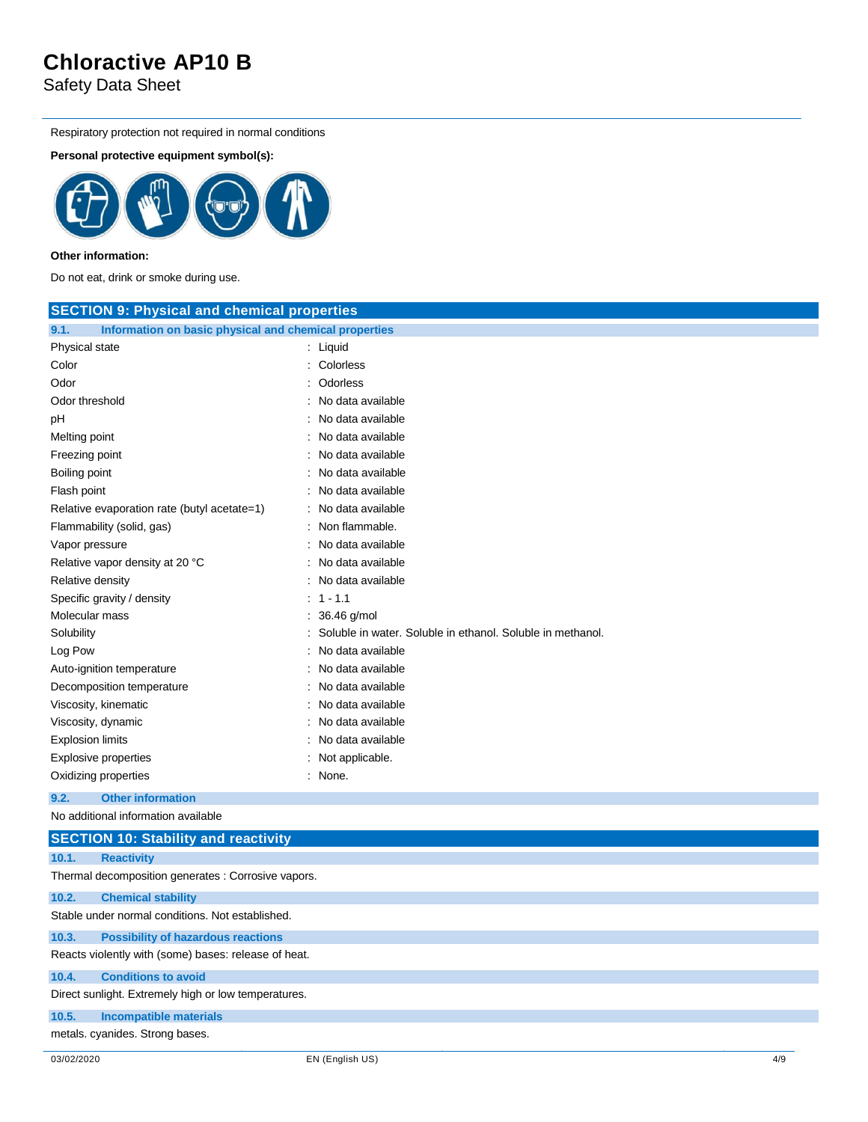Safety Data Sheet

Respiratory protection not required in normal conditions

### **Personal protective equipment symbol(s):**



### **Other information:**

Do not eat, drink or smoke during use.

| <b>SECTION 9: Physical and chemical properties</b>            |                                                            |
|---------------------------------------------------------------|------------------------------------------------------------|
| 9.1.<br>Information on basic physical and chemical properties |                                                            |
| Physical state                                                | : Liquid                                                   |
| Color                                                         | : Colorless                                                |
| Odor                                                          | : Odorless                                                 |
| Odor threshold                                                | : No data available                                        |
| рH                                                            | No data available                                          |
| Melting point                                                 | : No data available                                        |
| Freezing point                                                | : No data available                                        |
| Boiling point                                                 | No data available                                          |
| Flash point                                                   | : No data available                                        |
| Relative evaporation rate (butyl acetate=1)                   | : No data available                                        |
| Flammability (solid, gas)                                     | : Non flammable.                                           |
| Vapor pressure                                                | No data available                                          |
| Relative vapor density at 20 °C                               | : No data available                                        |
| Relative density                                              | : No data available                                        |
| Specific gravity / density                                    | $: 1 - 1.1$                                                |
| Molecular mass                                                | 36.46 g/mol                                                |
| Solubility                                                    | Soluble in water. Soluble in ethanol. Soluble in methanol. |
| Log Pow                                                       | No data available                                          |
| Auto-ignition temperature                                     | : No data available                                        |
| Decomposition temperature                                     | No data available                                          |
| Viscosity, kinematic                                          | : No data available                                        |
| Viscosity, dynamic                                            | No data available                                          |
| <b>Explosion limits</b>                                       | No data available                                          |
| <b>Explosive properties</b>                                   | : Not applicable.                                          |
| Oxidizing properties                                          | : None.                                                    |
| 9.2.<br><b>Other information</b>                              |                                                            |
| and the state of the state of the state of                    |                                                            |

No additional information available

|       | <b>SECTION 10: Stability and reactivity</b>          |
|-------|------------------------------------------------------|
| 10.1. | <b>Reactivity</b>                                    |
|       | Thermal decomposition generates : Corrosive vapors.  |
| 10.2. | <b>Chemical stability</b>                            |
|       | Stable under normal conditions. Not established.     |
| 10.3. | <b>Possibility of hazardous reactions</b>            |
|       | Reacts violently with (some) bases: release of heat. |
| 10.4. | <b>Conditions to avoid</b>                           |
|       | Direct sunlight. Extremely high or low temperatures. |
| 10.5. | <b>Incompatible materials</b>                        |
|       | metals. cyanides. Strong bases.                      |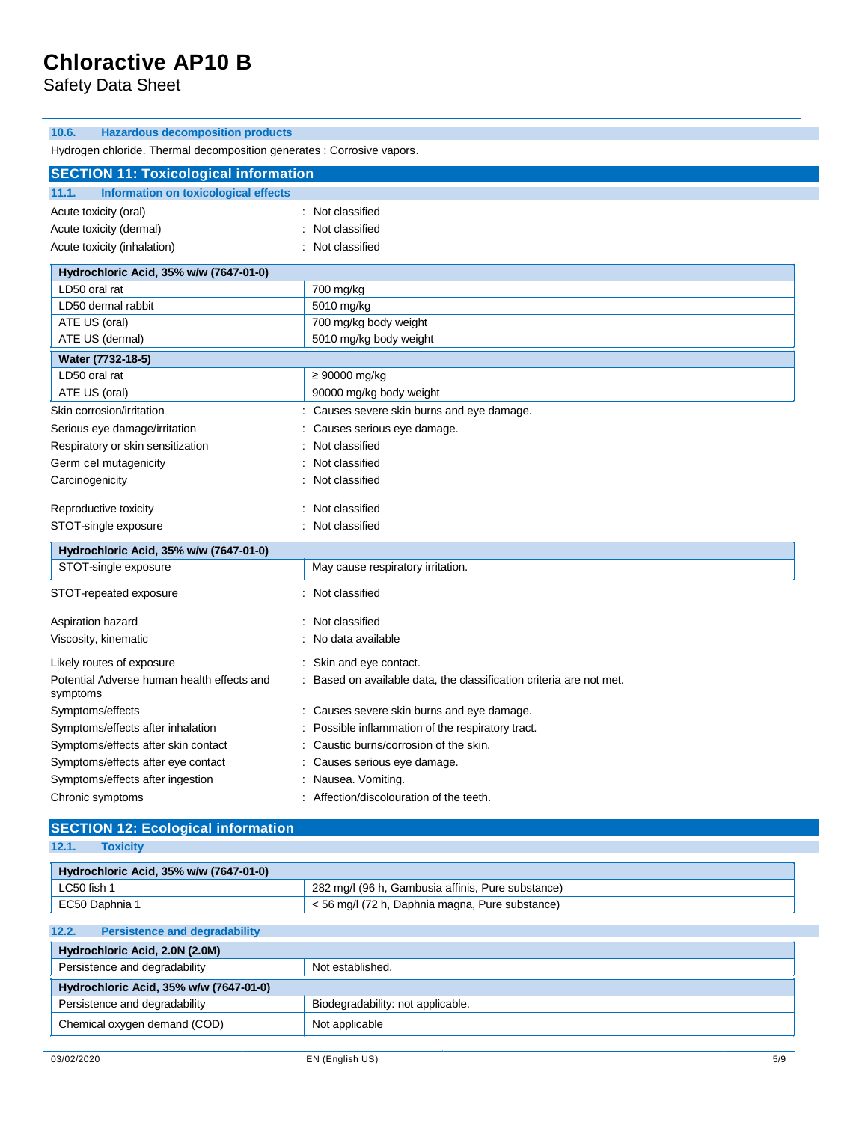Safety Data Sheet

### **10.6. Hazardous decomposition products**

Hydrogen chloride. Thermal decomposition generates : Corrosive vapors.

| <b>SECTION 11: Toxicological information</b>           |                                                                   |
|--------------------------------------------------------|-------------------------------------------------------------------|
| Information on toxicological effects<br>11.1.          |                                                                   |
| Acute toxicity (oral)                                  | Not classified                                                    |
| Acute toxicity (dermal)                                | Not classified                                                    |
| Acute toxicity (inhalation)                            | Not classified                                                    |
| Hydrochloric Acid, 35% w/w (7647-01-0)                 |                                                                   |
| LD50 oral rat                                          | 700 mg/kg                                                         |
| LD50 dermal rabbit                                     | 5010 mg/kg                                                        |
| ATE US (oral)                                          | 700 mg/kg body weight                                             |
| ATE US (dermal)                                        | 5010 mg/kg body weight                                            |
| Water (7732-18-5)                                      |                                                                   |
| LD50 oral rat                                          | $\geq 90000$ mg/kg                                                |
| ATE US (oral)                                          | 90000 mg/kg body weight                                           |
| Skin corrosion/irritation                              | Causes severe skin burns and eye damage.                          |
| Serious eye damage/irritation                          | Causes serious eye damage.                                        |
| Respiratory or skin sensitization                      | Not classified                                                    |
| Germ cel mutagenicity                                  | Not classified                                                    |
| Carcinogenicity                                        | Not classified                                                    |
| Reproductive toxicity                                  | Not classified                                                    |
| STOT-single exposure                                   | Not classified                                                    |
| Hydrochloric Acid, 35% w/w (7647-01-0)                 |                                                                   |
| STOT-single exposure                                   | May cause respiratory irritation.                                 |
| STOT-repeated exposure                                 | : Not classified                                                  |
| Aspiration hazard                                      | Not classified                                                    |
| Viscosity, kinematic                                   | No data available                                                 |
| Likely routes of exposure                              | Skin and eye contact.<br>÷                                        |
| Potential Adverse human health effects and<br>symptoms | Based on available data, the classification criteria are not met. |
| Symptoms/effects                                       | Causes severe skin burns and eye damage.                          |
| Symptoms/effects after inhalation                      | Possible inflammation of the respiratory tract.                   |
| Symptoms/effects after skin contact                    | Caustic burns/corrosion of the skin.                              |
| Symptoms/effects after eye contact                     | Causes serious eye damage.                                        |
| Symptoms/effects after ingestion                       | Nausea. Vomiting.                                                 |
| Chronic symptoms                                       | : Affection/discolouration of the teeth.                          |

### **SECTION 12: Ecological information**

**12.1. Toxicity**

| Hydrochloric Acid, 35% w/w (7647-01-0) |                                                   |
|----------------------------------------|---------------------------------------------------|
| LC50 fish 1                            | 282 mg/l (96 h, Gambusia affinis, Pure substance) |
| EC50 Daphnia 1                         | < 56 mg/l (72 h, Daphnia magna, Pure substance)   |

### **12.2. Persistence and degradability**

| Hydrochloric Acid, 2.0N (2.0M)         |                                   |
|----------------------------------------|-----------------------------------|
| Persistence and degradability          | Not established.                  |
| Hydrochloric Acid, 35% w/w (7647-01-0) |                                   |
| Persistence and degradability          | Biodegradability: not applicable. |
| Chemical oxygen demand (COD)           | Not applicable                    |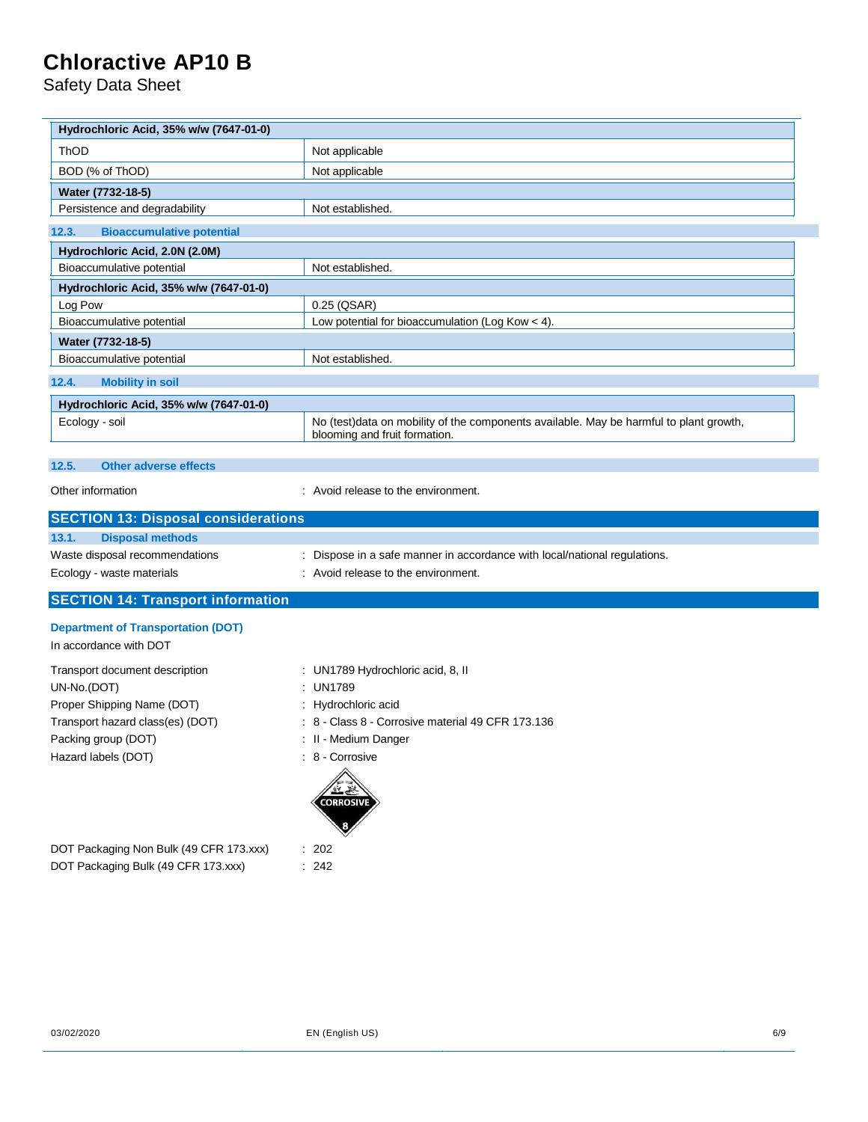Safety Data Sheet

 $\overline{\phantom{a}}$ 

| Hydrochloric Acid, 35% w/w (7647-01-0)                                         |                                                                                                                         |
|--------------------------------------------------------------------------------|-------------------------------------------------------------------------------------------------------------------------|
| ThOD                                                                           | Not applicable                                                                                                          |
| BOD (% of ThOD)                                                                | Not applicable                                                                                                          |
| Water (7732-18-5)                                                              |                                                                                                                         |
| Persistence and degradability                                                  | Not established.                                                                                                        |
| 12.3.<br><b>Bioaccumulative potential</b>                                      |                                                                                                                         |
| Hydrochloric Acid, 2.0N (2.0M)                                                 |                                                                                                                         |
| Bioaccumulative potential                                                      | Not established.                                                                                                        |
| Hydrochloric Acid, 35% w/w (7647-01-0)                                         |                                                                                                                         |
| Log Pow                                                                        | 0.25 (QSAR)                                                                                                             |
| Bioaccumulative potential                                                      | Low potential for bioaccumulation (Log Kow < 4).                                                                        |
| Water (7732-18-5)                                                              |                                                                                                                         |
| Bioaccumulative potential                                                      | Not established.                                                                                                        |
| <b>Mobility in soil</b><br>12.4.                                               |                                                                                                                         |
| Hydrochloric Acid, 35% w/w (7647-01-0)                                         |                                                                                                                         |
| Ecology - soil                                                                 | No (test)data on mobility of the components available. May be harmful to plant growth,<br>blooming and fruit formation. |
| <b>Other adverse effects</b><br>12.5.                                          |                                                                                                                         |
|                                                                                |                                                                                                                         |
| Other information                                                              | : Avoid release to the environment.                                                                                     |
|                                                                                |                                                                                                                         |
| <b>SECTION 13: Disposal considerations</b>                                     |                                                                                                                         |
| 13.1.<br><b>Disposal methods</b>                                               |                                                                                                                         |
| Waste disposal recommendations                                                 | Dispose in a safe manner in accordance with local/national regulations.                                                 |
| Ecology - waste materials                                                      | Avoid release to the environment.                                                                                       |
| <b>SECTION 14: Transport information</b>                                       |                                                                                                                         |
|                                                                                |                                                                                                                         |
| <b>Department of Transportation (DOT)</b><br>In accordance with DOT            |                                                                                                                         |
|                                                                                |                                                                                                                         |
| Transport document description                                                 | UN1789 Hydrochloric acid, 8, II                                                                                         |
| UN-No.(DOT)                                                                    | <b>UN1789</b>                                                                                                           |
| Proper Shipping Name (DOT)                                                     | Hydrochloric acid<br>8 - Class 8 - Corrosive material 49 CFR 173.136                                                    |
| Transport hazard class(es) (DOT)<br>Packing group (DOT)                        | : II - Medium Danger                                                                                                    |
|                                                                                | : 8 - Corrosive                                                                                                         |
| Hazard labels (DOT)                                                            | CORROSIV                                                                                                                |
|                                                                                |                                                                                                                         |
| DOT Packaging Non Bulk (49 CFR 173.xxx)<br>DOT Packaging Bulk (49 CFR 173.xxx) | : 202<br>: 242                                                                                                          |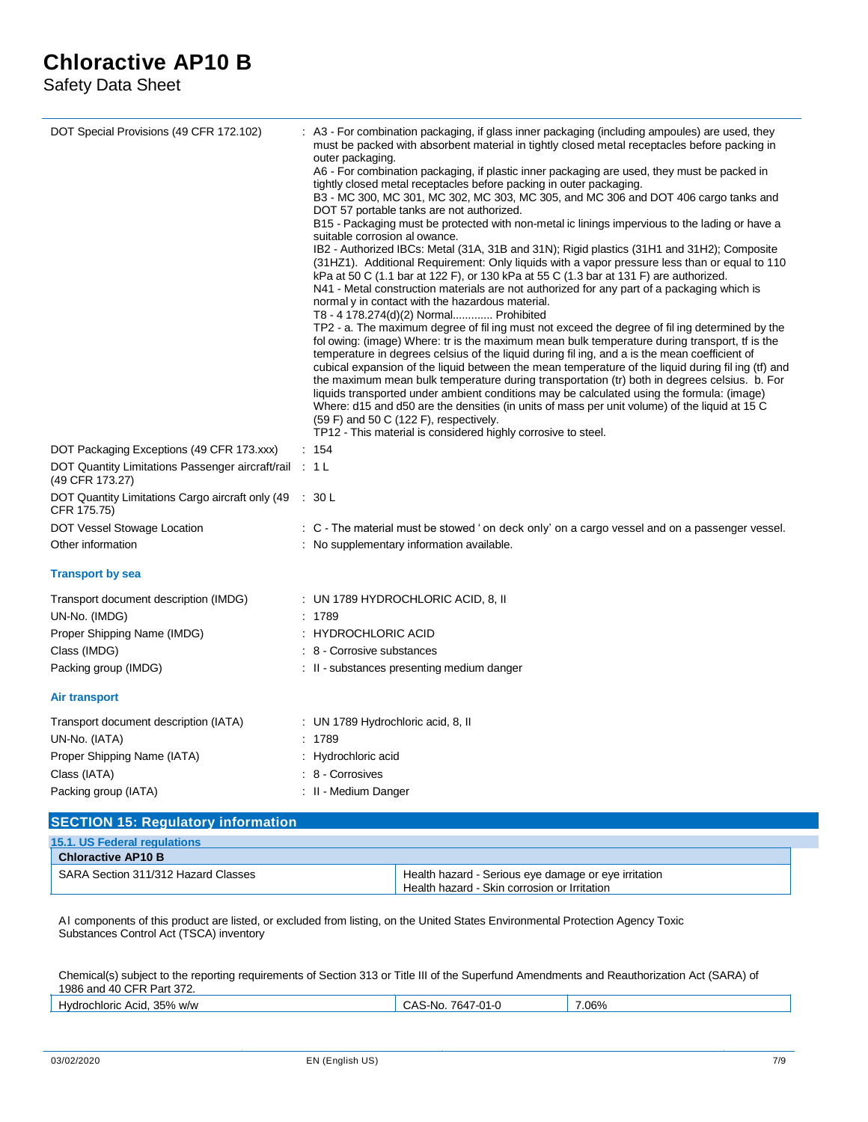Safety Data Sheet

| DOT Special Provisions (49 CFR 172.102)                                   | : A3 - For combination packaging, if glass inner packaging (including ampoules) are used, they<br>must be packed with absorbent material in tightly closed metal receptacles before packing in<br>outer packaging.<br>A6 - For combination packaging, if plastic inner packaging are used, they must be packed in<br>tightly closed metal receptacles before packing in outer packaging.<br>B3 - MC 300, MC 301, MC 302, MC 303, MC 305, and MC 306 and DOT 406 cargo tanks and<br>DOT 57 portable tanks are not authorized.<br>B15 - Packaging must be protected with non-metal ic linings impervious to the lading or have a<br>suitable corrosion al owance.<br>IB2 - Authorized IBCs: Metal (31A, 31B and 31N); Rigid plastics (31H1 and 31H2); Composite<br>(31HZ1). Additional Requirement: Only liquids with a vapor pressure less than or equal to 110<br>kPa at 50 C (1.1 bar at 122 F), or 130 kPa at 55 C (1.3 bar at 131 F) are authorized.<br>N41 - Metal construction materials are not authorized for any part of a packaging which is<br>normal y in contact with the hazardous material.<br>T8 - 4 178.274(d)(2) Normal Prohibited<br>TP2 - a. The maximum degree of fil ing must not exceed the degree of fil ing determined by the<br>fol owing: (image) Where: tr is the maximum mean bulk temperature during transport, tf is the<br>temperature in degrees celsius of the liquid during fil ing, and a is the mean coefficient of<br>cubical expansion of the liquid between the mean temperature of the liquid during fil ing (tf) and<br>the maximum mean bulk temperature during transportation (tr) both in degrees celsius. b. For<br>liquids transported under ambient conditions may be calculated using the formula: (image)<br>Where: d15 and d50 are the densities (in units of mass per unit volume) of the liquid at 15 C<br>$(59 F)$ and 50 C $(122 F)$ , respectively.<br>TP12 - This material is considered highly corrosive to steel. |
|---------------------------------------------------------------------------|-----------------------------------------------------------------------------------------------------------------------------------------------------------------------------------------------------------------------------------------------------------------------------------------------------------------------------------------------------------------------------------------------------------------------------------------------------------------------------------------------------------------------------------------------------------------------------------------------------------------------------------------------------------------------------------------------------------------------------------------------------------------------------------------------------------------------------------------------------------------------------------------------------------------------------------------------------------------------------------------------------------------------------------------------------------------------------------------------------------------------------------------------------------------------------------------------------------------------------------------------------------------------------------------------------------------------------------------------------------------------------------------------------------------------------------------------------------------------------------------------------------------------------------------------------------------------------------------------------------------------------------------------------------------------------------------------------------------------------------------------------------------------------------------------------------------------------------------------------------------------------------------------------------------------------------------------------------------------------|
| DOT Packaging Exceptions (49 CFR 173.xxx)                                 | : 154                                                                                                                                                                                                                                                                                                                                                                                                                                                                                                                                                                                                                                                                                                                                                                                                                                                                                                                                                                                                                                                                                                                                                                                                                                                                                                                                                                                                                                                                                                                                                                                                                                                                                                                                                                                                                                                                                                                                                                       |
| DOT Quantity Limitations Passenger aircraft/rail : 1 L<br>(49 CFR 173.27) |                                                                                                                                                                                                                                                                                                                                                                                                                                                                                                                                                                                                                                                                                                                                                                                                                                                                                                                                                                                                                                                                                                                                                                                                                                                                                                                                                                                                                                                                                                                                                                                                                                                                                                                                                                                                                                                                                                                                                                             |
| DOT Quantity Limitations Cargo aircraft only (49<br>CFR 175.75)           | 30 L                                                                                                                                                                                                                                                                                                                                                                                                                                                                                                                                                                                                                                                                                                                                                                                                                                                                                                                                                                                                                                                                                                                                                                                                                                                                                                                                                                                                                                                                                                                                                                                                                                                                                                                                                                                                                                                                                                                                                                        |
| DOT Vessel Stowage Location                                               | : C - The material must be stowed ' on deck only' on a cargo vessel and on a passenger vessel.                                                                                                                                                                                                                                                                                                                                                                                                                                                                                                                                                                                                                                                                                                                                                                                                                                                                                                                                                                                                                                                                                                                                                                                                                                                                                                                                                                                                                                                                                                                                                                                                                                                                                                                                                                                                                                                                              |
| Other information                                                         | : No supplementary information available.                                                                                                                                                                                                                                                                                                                                                                                                                                                                                                                                                                                                                                                                                                                                                                                                                                                                                                                                                                                                                                                                                                                                                                                                                                                                                                                                                                                                                                                                                                                                                                                                                                                                                                                                                                                                                                                                                                                                   |
| <b>Transport by sea</b>                                                   |                                                                                                                                                                                                                                                                                                                                                                                                                                                                                                                                                                                                                                                                                                                                                                                                                                                                                                                                                                                                                                                                                                                                                                                                                                                                                                                                                                                                                                                                                                                                                                                                                                                                                                                                                                                                                                                                                                                                                                             |
| Transport document description (IMDG)                                     | : UN 1789 HYDROCHLORIC ACID, 8, II                                                                                                                                                                                                                                                                                                                                                                                                                                                                                                                                                                                                                                                                                                                                                                                                                                                                                                                                                                                                                                                                                                                                                                                                                                                                                                                                                                                                                                                                                                                                                                                                                                                                                                                                                                                                                                                                                                                                          |
| UN-No. (IMDG)                                                             | : 1789                                                                                                                                                                                                                                                                                                                                                                                                                                                                                                                                                                                                                                                                                                                                                                                                                                                                                                                                                                                                                                                                                                                                                                                                                                                                                                                                                                                                                                                                                                                                                                                                                                                                                                                                                                                                                                                                                                                                                                      |
| Proper Shipping Name (IMDG)                                               | : HYDROCHLORIC ACID                                                                                                                                                                                                                                                                                                                                                                                                                                                                                                                                                                                                                                                                                                                                                                                                                                                                                                                                                                                                                                                                                                                                                                                                                                                                                                                                                                                                                                                                                                                                                                                                                                                                                                                                                                                                                                                                                                                                                         |
| Class (IMDG)                                                              | : 8 - Corrosive substances                                                                                                                                                                                                                                                                                                                                                                                                                                                                                                                                                                                                                                                                                                                                                                                                                                                                                                                                                                                                                                                                                                                                                                                                                                                                                                                                                                                                                                                                                                                                                                                                                                                                                                                                                                                                                                                                                                                                                  |
| Packing group (IMDG)                                                      | : II - substances presenting medium danger                                                                                                                                                                                                                                                                                                                                                                                                                                                                                                                                                                                                                                                                                                                                                                                                                                                                                                                                                                                                                                                                                                                                                                                                                                                                                                                                                                                                                                                                                                                                                                                                                                                                                                                                                                                                                                                                                                                                  |
| Air transport                                                             |                                                                                                                                                                                                                                                                                                                                                                                                                                                                                                                                                                                                                                                                                                                                                                                                                                                                                                                                                                                                                                                                                                                                                                                                                                                                                                                                                                                                                                                                                                                                                                                                                                                                                                                                                                                                                                                                                                                                                                             |
| Transport document description (IATA)                                     | : UN 1789 Hydrochloric acid, 8, II                                                                                                                                                                                                                                                                                                                                                                                                                                                                                                                                                                                                                                                                                                                                                                                                                                                                                                                                                                                                                                                                                                                                                                                                                                                                                                                                                                                                                                                                                                                                                                                                                                                                                                                                                                                                                                                                                                                                          |
| UN-No. (IATA)                                                             | : 1789                                                                                                                                                                                                                                                                                                                                                                                                                                                                                                                                                                                                                                                                                                                                                                                                                                                                                                                                                                                                                                                                                                                                                                                                                                                                                                                                                                                                                                                                                                                                                                                                                                                                                                                                                                                                                                                                                                                                                                      |
| Proper Shipping Name (IATA)                                               | : Hydrochloric acid                                                                                                                                                                                                                                                                                                                                                                                                                                                                                                                                                                                                                                                                                                                                                                                                                                                                                                                                                                                                                                                                                                                                                                                                                                                                                                                                                                                                                                                                                                                                                                                                                                                                                                                                                                                                                                                                                                                                                         |
| Class (IATA)                                                              | : 8 - Corrosives                                                                                                                                                                                                                                                                                                                                                                                                                                                                                                                                                                                                                                                                                                                                                                                                                                                                                                                                                                                                                                                                                                                                                                                                                                                                                                                                                                                                                                                                                                                                                                                                                                                                                                                                                                                                                                                                                                                                                            |
| Packing group (IATA)                                                      | : II - Medium Danger                                                                                                                                                                                                                                                                                                                                                                                                                                                                                                                                                                                                                                                                                                                                                                                                                                                                                                                                                                                                                                                                                                                                                                                                                                                                                                                                                                                                                                                                                                                                                                                                                                                                                                                                                                                                                                                                                                                                                        |
|                                                                           |                                                                                                                                                                                                                                                                                                                                                                                                                                                                                                                                                                                                                                                                                                                                                                                                                                                                                                                                                                                                                                                                                                                                                                                                                                                                                                                                                                                                                                                                                                                                                                                                                                                                                                                                                                                                                                                                                                                                                                             |

| <b>SECTION 15: Regulatory information</b> |                                                      |  |
|-------------------------------------------|------------------------------------------------------|--|
| <b>15.1. US Federal regulations</b>       |                                                      |  |
| <b>Chloractive AP10 B</b>                 |                                                      |  |
| SARA Section 311/312 Hazard Classes       | Health hazard - Serious eye damage or eye irritation |  |
|                                           | Health hazard - Skin corrosion or Irritation         |  |

Al components of this product are listed, or excluded from listing, on the United States Environmental Protection Agency Toxic Substances Control Act (TSCA) inventory

Chemical(s) subject to the reporting requirements of Section 313 or Title III of the Superfund Amendments and Reauthorization Act (SARA) of 1986 and 40 CFR Part 372.

| 35%<br>w/w<br>-Ivdrochloric<br>Acid. | --<br>$\overline{\phantom{0}}$<br>$-01 - ($<br>'64.<br>CAS<br>N <sub>Ic</sub><br>NU.<br>.<br>. | 7.06% |
|--------------------------------------|------------------------------------------------------------------------------------------------|-------|
|                                      |                                                                                                |       |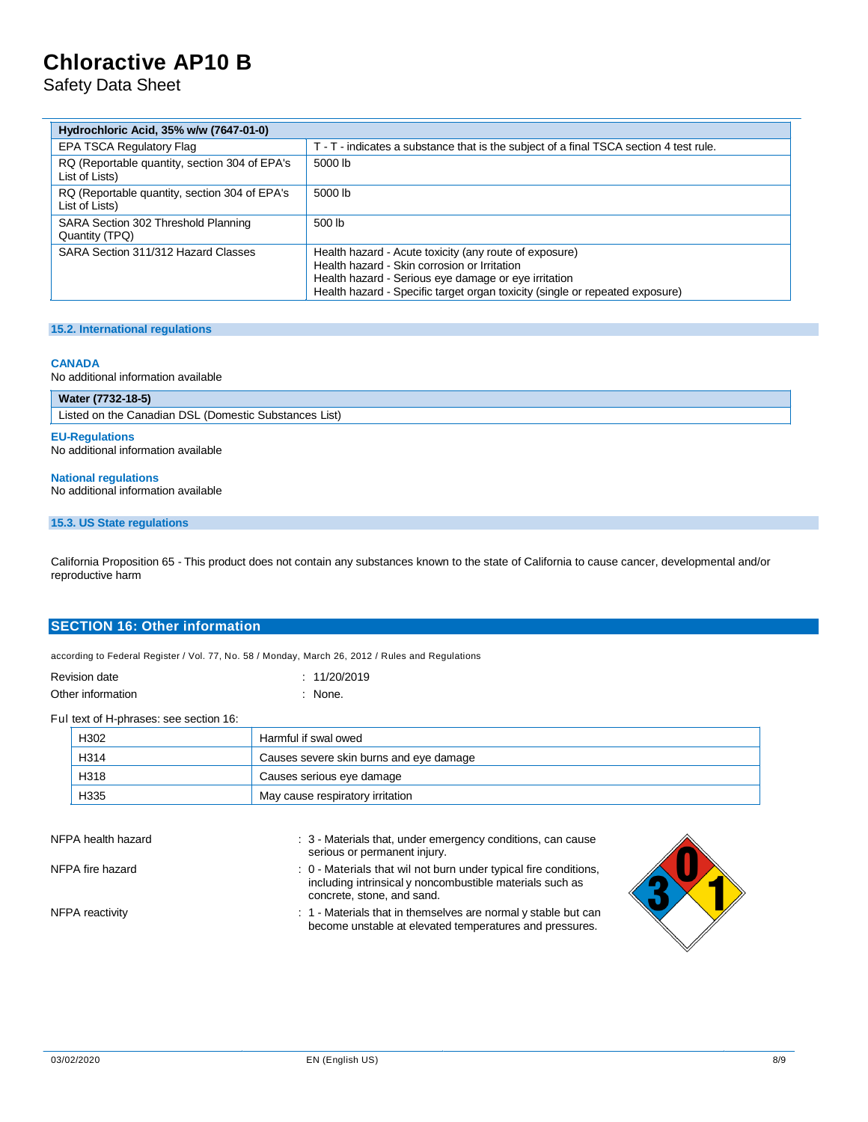Safety Data Sheet

| Hydrochloric Acid, 35% w/w (7647-01-0)                          |                                                                                                                                                                                                                                                |
|-----------------------------------------------------------------|------------------------------------------------------------------------------------------------------------------------------------------------------------------------------------------------------------------------------------------------|
| EPA TSCA Regulatory Flag                                        | T - T - indicates a substance that is the subject of a final TSCA section 4 test rule.                                                                                                                                                         |
| RQ (Reportable quantity, section 304 of EPA's<br>List of Lists) | 5000 lb                                                                                                                                                                                                                                        |
| RQ (Reportable quantity, section 304 of EPA's<br>List of Lists) | 5000 lb                                                                                                                                                                                                                                        |
| SARA Section 302 Threshold Planning<br>Quantity (TPQ)           | 500 lb                                                                                                                                                                                                                                         |
| SARA Section 311/312 Hazard Classes                             | Health hazard - Acute toxicity (any route of exposure)<br>Health hazard - Skin corrosion or Irritation<br>Health hazard - Serious eye damage or eye irritation<br>Health hazard - Specific target organ toxicity (single or repeated exposure) |

#### **15.2. International regulations**

#### **CANADA**

No additional information available

| Water (7732-18-5)                                     |  |
|-------------------------------------------------------|--|
| Listed on the Canadian DSL (Domestic Substances List) |  |
|                                                       |  |

**EU-Regulations** No additional information available

**National regulations** No additional information available

### **15.3. US State regulations**

California Proposition 65 - This product does not contain any substances known to the state of California to cause cancer, developmental and/or reproductive harm

### **SECTION 16: Other information**

according to Federal Register / Vol. 77, No. 58 / Monday, March 26, 2012 / Rules and Regulations

| Revision date     | : 11/20/2019 |
|-------------------|--------------|
| Other information | : None.      |

Ful text of H-phrases: see section 16:

| H <sub>302</sub> | Harmful if swal owed                    |
|------------------|-----------------------------------------|
| H314             | Causes severe skin burns and eye damage |
| H318             | Causes serious eye damage               |
| H335             | May cause respiratory irritation        |

| NFPA health hazard | : 3 - Materials that, under emergency conditions, can cause<br>serious or permanent injury.                                                                |  |
|--------------------|------------------------------------------------------------------------------------------------------------------------------------------------------------|--|
| NFPA fire hazard   | : 0 - Materials that wil not burn under typical fire conditions,<br>including intrinsical y noncombustible materials such as<br>concrete, stone, and sand. |  |
| NFPA reactivity    | : 1 - Materials that in themselves are normal y stable but can<br>become unstable at elevated temperatures and pressures.                                  |  |